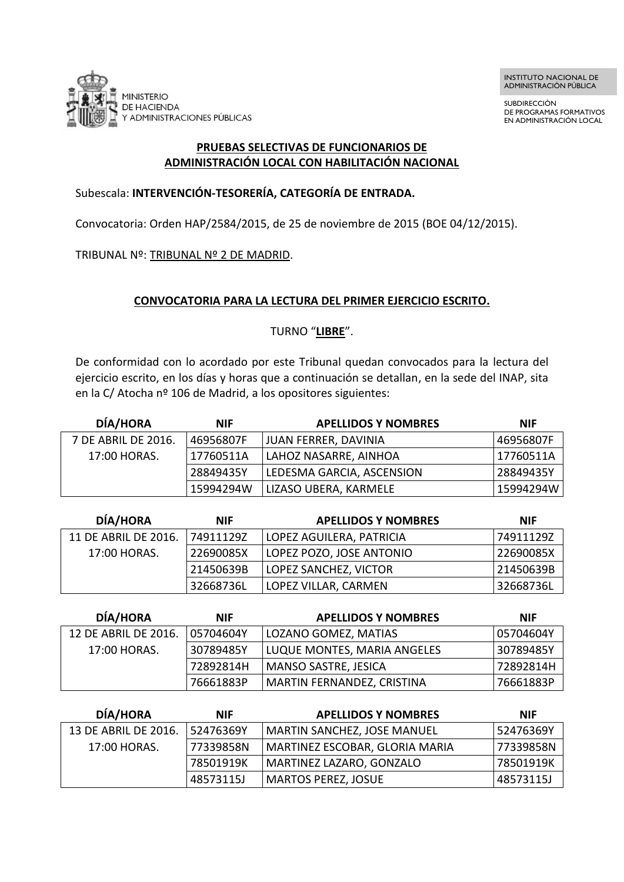

SUBDIRECCIÓN DE PROGRAMAS FORMATIVOS EN ADMINISTRACIÓN LOCAL

#### **PRUEBAS SELECTIVAS DE FUNCIONARIOS DE ADMINISTRACIÓN LOCAL CON HABILITACIÓN NACIONAL**

### Subescala: **INTERVENCIÓN-TESORERÍA, CATEGORÍA DE ENTRADA.**

Convocatoria: Orden HAP/2584/2015, de 25 de noviembre de 2015 (BOE 04/12/2015).

TRIBUNAL Nº: TRIBUNAL Nº 2 DE MADRID.

### **CONVOCATORIA PARA LA LECTURA DEL PRIMER EJERCICIO ESCRITO.**

## TURNO "**LIBRE**".

De conformidad con lo acordado por este Tribunal quedan convocados para la lectura del ejercicio escrito, en los días y horas que a continuación se detallan, en la sede del INAP, sita en la C/ Atocha nº 106 de Madrid, a los opositores siguientes:

| <b>DÍA/HORA</b>     | <b>NIF</b> | <b>APELLIDOS Y NOMBRES</b> | <b>NIF</b> |
|---------------------|------------|----------------------------|------------|
| 7 DE ABRIL DE 2016. | 46956807F  | JUAN FERRER, DAVINIA       | 46956807F  |
| 17:00 HORAS.        | 17760511A  | LAHOZ NASARRE, AINHOA      | 17760511A  |
|                     | 28849435Y  | LEDESMA GARCIA, ASCENSION  | 28849435Y  |
|                     | 15994294W  | LIZASO UBERA, KARMELE      | 15994294W  |

| <b>DÍA/HORA</b>      | <b>NIF</b> | <b>APELLIDOS Y NOMBRES</b> | <b>NIF</b> |
|----------------------|------------|----------------------------|------------|
| 11 DE ABRIL DE 2016. | 74911129Z  | LOPEZ AGUILERA, PATRICIA   | 74911129Z  |
| 17:00 HORAS.         | 22690085X  | LOPEZ POZO, JOSE ANTONIO   | 22690085X  |
|                      | 21450639B  | LOPEZ SANCHEZ, VICTOR      | 21450639B  |
|                      | 32668736L  | LOPEZ VILLAR, CARMEN       | 32668736L  |

| DÍA/HORA             | <b>NIF</b> | <b>APELLIDOS Y NOMBRES</b>  | <b>NIF</b> |
|----------------------|------------|-----------------------------|------------|
| 12 DE ABRIL DE 2016. | 05704604Y  | LOZANO GOMEZ, MATIAS        | 05704604Y  |
| 17:00 HORAS.         | 30789485Y  | LUQUE MONTES, MARIA ANGELES | 30789485Y  |
|                      | 72892814H  | <b>MANSO SASTRE, JESICA</b> | 72892814H  |
|                      | 76661883P  | MARTIN FERNANDEZ, CRISTINA  | 76661883P  |

| <b>DÍA/HORA</b>      | <b>NIF</b> | <b>APELLIDOS Y NOMBRES</b>         | <b>NIF</b> |
|----------------------|------------|------------------------------------|------------|
| 13 DE ABRIL DE 2016. | 52476369Y  | <b>MARTIN SANCHEZ, JOSE MANUEL</b> | 52476369Y  |
| 17:00 HORAS.         | 77339858N  | MARTINEZ ESCOBAR, GLORIA MARIA     | 77339858N  |
|                      | 78501919K  | MARTINEZ LAZARO, GONZALO           | 78501919K  |
|                      | 48573115J  | <b>MARTOS PEREZ, JOSUE</b>         | 48573115J  |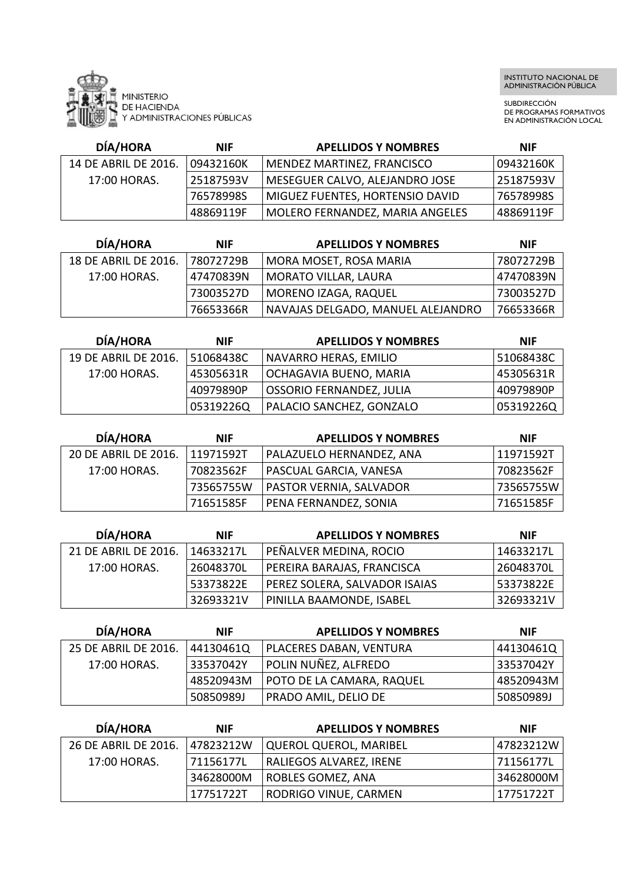

SUBDIRECCIÓN DE PROGRAMAS FORMATIVOS EN ADMINISTRACIÓN LOCAL

| <b>DÍA/HORA</b>      | <b>NIF</b> | <b>APELLIDOS Y NOMBRES</b>             | <b>NIF</b> |
|----------------------|------------|----------------------------------------|------------|
| 14 DE ABRIL DE 2016. | 09432160K  | MENDEZ MARTINEZ, FRANCISCO             | 09432160K  |
| 17:00 HORAS.         | 25187593V  | MESEGUER CALVO, ALEJANDRO JOSE         | 25187593V  |
|                      | 76578998S  | <b>MIGUEZ FUENTES, HORTENSIO DAVID</b> | 76578998S  |
|                      | 48869119F  | MOLERO FERNANDEZ, MARIA ANGELES        | 48869119F  |

| <b>DÍA/HORA</b>      | <b>NIF</b> | <b>APELLIDOS Y NOMBRES</b>        | <b>NIF</b> |
|----------------------|------------|-----------------------------------|------------|
| 18 DE ABRIL DE 2016. | 78072729B  | MORA MOSET, ROSA MARIA            | 78072729B  |
| 17:00 HORAS.         | 47470839N  | <b>MORATO VILLAR, LAURA</b>       | 47470839N  |
|                      | 73003527D  | MORENO IZAGA, RAQUEL              | 73003527D  |
|                      | 76653366R  | NAVAJAS DELGADO, MANUEL ALEJANDRO | 76653366R  |

| <b>DÍA/HORA</b>      | <b>NIF</b> | <b>APELLIDOS Y NOMBRES</b>      | <b>NIF</b> |
|----------------------|------------|---------------------------------|------------|
| 19 DE ABRIL DE 2016. | 51068438C  | NAVARRO HERAS, EMILIO           | 51068438C  |
| 17:00 HORAS.         | 45305631R  | OCHAGAVIA BUENO, MARIA          | 45305631R  |
|                      | 40979890P  | <b>OSSORIO FERNANDEZ, JULIA</b> | 40979890P  |
|                      | 05319226Q  | PALACIO SANCHEZ, GONZALO        | 05319226Q  |

| <b>DÍA/HORA</b>      | <b>NIF</b> | <b>APELLIDOS Y NOMBRES</b> | <b>NIF</b> |
|----------------------|------------|----------------------------|------------|
| 20 DE ABRIL DE 2016. | 11971592T  | PALAZUELO HERNANDEZ, ANA   | 11971592T  |
| 17:00 HORAS.         | 70823562F  | PASCUAL GARCIA, VANESA     | 70823562F  |
|                      | 73565755W  | PASTOR VERNIA, SALVADOR    | 73565755W  |
|                      | 71651585F  | PENA FERNANDEZ, SONIA      | 71651585F  |

| <b>DÍA/HORA</b>      | <b>NIF</b> | <b>APELLIDOS Y NOMBRES</b>    | <b>NIF</b> |
|----------------------|------------|-------------------------------|------------|
| 21 DE ABRIL DE 2016. | 14633217L  | PEÑALVER MEDINA, ROCIO        | 14633217L  |
| 17:00 HORAS.         | 26048370L  | PEREIRA BARAJAS, FRANCISCA    | 26048370L  |
|                      | 53373822E  | PEREZ SOLERA, SALVADOR ISAIAS | 53373822E  |
|                      | 32693321V  | PINILLA BAAMONDE, ISABEL      | 32693321V  |

| <b>DÍA/HORA</b>      | <b>NIF</b> | <b>APELLIDOS Y NOMBRES</b>  | <b>NIF</b> |
|----------------------|------------|-----------------------------|------------|
| 25 DE ABRIL DE 2016. | 44130461Q  | PLACERES DABAN, VENTURA     | 44130461Q  |
| 17:00 HORAS.         | 33537042Y  | POLIN NUÑEZ, ALFREDO        | 33537042Y  |
|                      | 48520943M  | POTO DE LA CAMARA, RAQUEL   | 48520943M  |
|                      | 50850989J  | <b>PRADO AMIL, DELIO DE</b> | 50850989J  |

| <b>DÍA/HORA</b>      | <b>NIF</b> | <b>APELLIDOS Y NOMBRES</b>    | <b>NIF</b> |
|----------------------|------------|-------------------------------|------------|
| 26 DE ABRIL DE 2016. | 47823212W  | <b>QUEROL QUEROL, MARIBEL</b> | 47823212W  |
| 17:00 HORAS.         | 71156177L  | RALIEGOS ALVAREZ, IRENE       | 71156177L  |
|                      | 34628000M  | <b>ROBLES GOMEZ, ANA</b>      | 34628000M  |
|                      | 17751722T  | RODRIGO VINUE, CARMEN         | 17751722T  |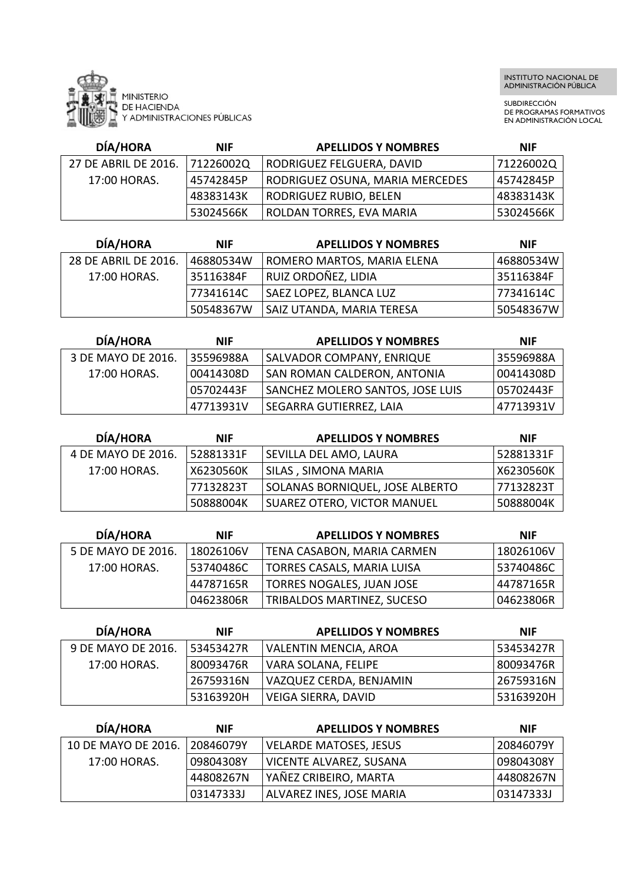

SUBDIRECCIÓN DE PROGRAMAS FORMATIVOS EN ADMINISTRACIÓN LOCAL

| <b>DÍA/HORA</b>      | <b>NIF</b> | <b>APELLIDOS Y NOMBRES</b>      | <b>NIF</b> |
|----------------------|------------|---------------------------------|------------|
| 27 DE ABRIL DE 2016. | 71226002Q  | RODRIGUEZ FELGUERA, DAVID       | 71226002Q  |
| 17:00 HORAS.         | 45742845P  | RODRIGUEZ OSUNA, MARIA MERCEDES | 45742845P  |
|                      | 48383143K  | RODRIGUEZ RUBIO, BELEN          | 48383143K  |
|                      | 53024566K  | ROLDAN TORRES, EVA MARIA        | 53024566K  |

| <b>DÍA/HORA</b>      | <b>NIF</b> | <b>APELLIDOS Y NOMBRES</b>        | <b>NIF</b> |
|----------------------|------------|-----------------------------------|------------|
| 28 DE ABRIL DE 2016. | 46880534W  | <b>ROMERO MARTOS, MARIA ELENA</b> | 46880534W  |
| 17:00 HORAS.         | 35116384F  | RUIZ ORDOÑEZ, LIDIA               | 35116384F  |
|                      | 77341614C  | <b>SAEZ LOPEZ, BLANCA LUZ</b>     | 77341614C  |
|                      | 50548367W  | SAIZ UTANDA, MARIA TERESA         | 50548367W  |

| <b>DÍA/HORA</b>    | <b>NIF</b> | <b>APELLIDOS Y NOMBRES</b>       | <b>NIF</b>  |
|--------------------|------------|----------------------------------|-------------|
| 3 DE MAYO DE 2016. | 35596988A  | SALVADOR COMPANY, ENRIQUE        | l 35596988A |
| 17:00 HORAS.       | 00414308D  | SAN ROMAN CALDERON, ANTONIA      | 00414308D   |
|                    | 05702443F  | SANCHEZ MOLERO SANTOS, JOSE LUIS | 05702443F   |
|                    | 47713931V  | SEGARRA GUTIERREZ, LAIA          | 47713931V   |

| <b>DÍA/HORA</b>    | <b>NIF</b> | <b>APELLIDOS Y NOMBRES</b>         | <b>NIF</b> |
|--------------------|------------|------------------------------------|------------|
| 4 DE MAYO DE 2016. | 52881331F  | SEVILLA DEL AMO, LAURA             | 52881331F  |
| 17:00 HORAS.       | X6230560K  | SILAS , SIMONA MARIA               | X6230560K  |
|                    | 77132823T  | SOLANAS BORNIQUEL, JOSE ALBERTO    | 77132823T  |
|                    | 50888004K  | <b>SUAREZ OTERO, VICTOR MANUEL</b> | 50888004K  |

| <b>DÍA/HORA</b>    | <b>NIF</b> | <b>APELLIDOS Y NOMBRES</b>       | <b>NIF</b> |
|--------------------|------------|----------------------------------|------------|
| 5 DE MAYO DE 2016. | 18026106V  | TENA CASABON, MARIA CARMEN       | 18026106V  |
| 17:00 HORAS.       | 53740486C  | TORRES CASALS, MARIA LUISA       | 53740486C  |
|                    | 44787165R  | <b>TORRES NOGALES, JUAN JOSE</b> | 44787165R  |
|                    | 04623806R  | TRIBALDOS MARTINEZ, SUCESO       | 04623806R  |

| DÍA/HORA           | <b>NIF</b> | <b>APELLIDOS Y NOMBRES</b> | <b>NIF</b> |
|--------------------|------------|----------------------------|------------|
| 9 DE MAYO DE 2016. | 53453427R  | VALENTIN MENCIA, AROA      | 53453427R  |
| 17:00 HORAS.       | 80093476R  | VARA SOLANA, FELIPE        | 80093476R  |
|                    | 26759316N  | VAZQUEZ CERDA, BENJAMIN    | 26759316N  |
|                    | 53163920H  | VEIGA SIERRA, DAVID        | 53163920H  |

| <b>DÍA/HORA</b>     | <b>NIF</b> | <b>APELLIDOS Y NOMBRES</b>     | <b>NIF</b> |
|---------------------|------------|--------------------------------|------------|
| 10 DE MAYO DE 2016. | 20846079Y  | <b>VELARDE MATOSES, JESUS</b>  | 20846079Y  |
| 17:00 HORAS.        | 09804308Y  | VICENTE ALVAREZ, SUSANA        | 09804308Y  |
|                     | 44808267N  | <b>I YAÑEZ CRIBEIRO, MARTA</b> | 44808267N  |
|                     | 03147333J  | ALVAREZ INES, JOSE MARIA       | 03147333J  |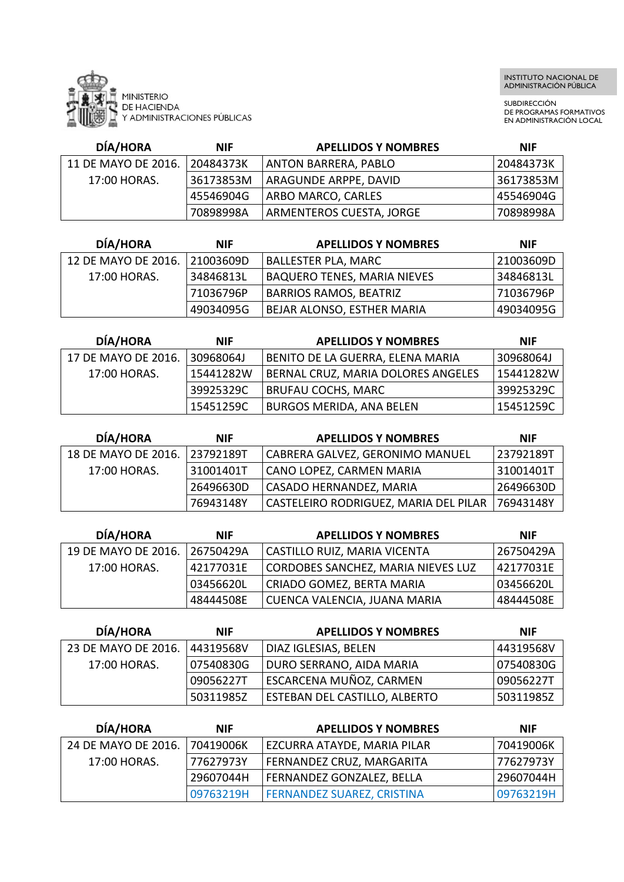

SUBDIRECCIÓN DE PROGRAMAS FORMATIVOS EN ADMINISTRACIÓN LOCAL

| <b>DÍA/HORA</b>     | <b>NIF</b> | <b>APELLIDOS Y NOMBRES</b>      | <b>NIF</b> |
|---------------------|------------|---------------------------------|------------|
| 11 DE MAYO DE 2016. | 20484373K  | ANTON BARRERA, PABLO            | 20484373K  |
| 17:00 HORAS.        | 36173853M  | 'ARAGUNDE ARPPE, DAVID          | 36173853M  |
|                     | 45546904G  | ARBO MARCO, CARLES              | 45546904G  |
|                     | 70898998A  | <b>ARMENTEROS CUESTA, JORGE</b> | 70898998A  |

| DÍA/HORA            | <b>NIF</b> | <b>APELLIDOS Y NOMBRES</b>         | <b>NIF</b> |
|---------------------|------------|------------------------------------|------------|
| 12 DE MAYO DE 2016. | 21003609D  | <b>BALLESTER PLA, MARC</b>         | 21003609D  |
| 17:00 HORAS.        | 34846813L  | <b>BAQUERO TENES, MARIA NIEVES</b> | 34846813L  |
|                     | 71036796P  | <b>BARRIOS RAMOS, BEATRIZ</b>      | 71036796P  |
|                     | 49034095G  | BEJAR ALONSO, ESTHER MARIA         | 49034095G  |

| <b>DÍA/HORA</b>     | <b>NIF</b> | <b>APELLIDOS Y NOMBRES</b>         | <b>NIF</b>  |
|---------------------|------------|------------------------------------|-------------|
| 17 DE MAYO DE 2016. | 30968064J  | BENITO DE LA GUERRA, ELENA MARIA   | 30968064J   |
| 17:00 HORAS.        | 15441282W  | BERNAL CRUZ, MARIA DOLORES ANGELES | 15441282W   |
|                     | 39925329C  | BRUFAU COCHS, MARC                 | 39925329C   |
|                     | 15451259C  | <b>BURGOS MERIDA, ANA BELEN</b>    | l 15451259C |

| <b>DÍA/HORA</b>     | <b>NIF</b> | <b>APELLIDOS Y NOMBRES</b>            | <b>NIF</b>  |
|---------------------|------------|---------------------------------------|-------------|
| 18 DE MAYO DE 2016. | 23792189T  | CABRERA GALVEZ, GERONIMO MANUEL       | 23792189T   |
| 17:00 HORAS.        | 31001401T  | CANO LOPEZ, CARMEN MARIA              | 31001401T   |
|                     | 26496630D  | CASADO HERNANDEZ, MARIA               | 26496630D   |
|                     | 76943148Y  | CASTELEIRO RODRIGUEZ, MARIA DEL PILAR | l 76943148Y |

| <b>DÍA/HORA</b>     | <b>NIF</b> | <b>APELLIDOS Y NOMBRES</b>                | <b>NIF</b> |
|---------------------|------------|-------------------------------------------|------------|
| 19 DE MAYO DE 2016. | 126750429A | CASTILLO RUIZ, MARIA VICENTA              | 26750429A  |
| 17:00 HORAS.        | 42177031E  | <b>CORDOBES SANCHEZ, MARIA NIEVES LUZ</b> | 42177031E  |
|                     | 03456620L  | CRIADO GOMEZ, BERTA MARIA                 | 03456620L  |
|                     | 48444508E  | CUENCA VALENCIA, JUANA MARIA              | 48444508E  |

| <b>DÍA/HORA</b>     | <b>NIF</b> | <b>APELLIDOS Y NOMBRES</b>     | <b>NIF</b> |
|---------------------|------------|--------------------------------|------------|
| 23 DE MAYO DE 2016. | 44319568V  | DIAZ IGLESIAS, BELEN           | 44319568V  |
| 17:00 HORAS.        | 07540830G  | DURO SERRANO, AIDA MARIA       | 07540830G  |
|                     | 09056227T  | <b>ESCARCENA MUÑOZ, CARMEN</b> | 09056227T  |
|                     | 50311985Z  | ESTEBAN DEL CASTILLO, ALBERTO  | 50311985Z  |

| <b>DÍA/HORA</b>     | <b>NIF</b> | <b>APELLIDOS Y NOMBRES</b>        | <b>NIF</b> |
|---------------------|------------|-----------------------------------|------------|
| 24 DE MAYO DE 2016. | 70419006K  | EZCURRA ATAYDE, MARIA PILAR       | 70419006K  |
| 17:00 HORAS.        | 77627973Y  | FERNANDEZ CRUZ, MARGARITA         | 77627973Y  |
|                     | 29607044H  | FERNANDEZ GONZALEZ, BELLA         | 29607044H  |
|                     | 09763219H  | <b>FERNANDEZ SUAREZ, CRISTINA</b> | 09763219H  |